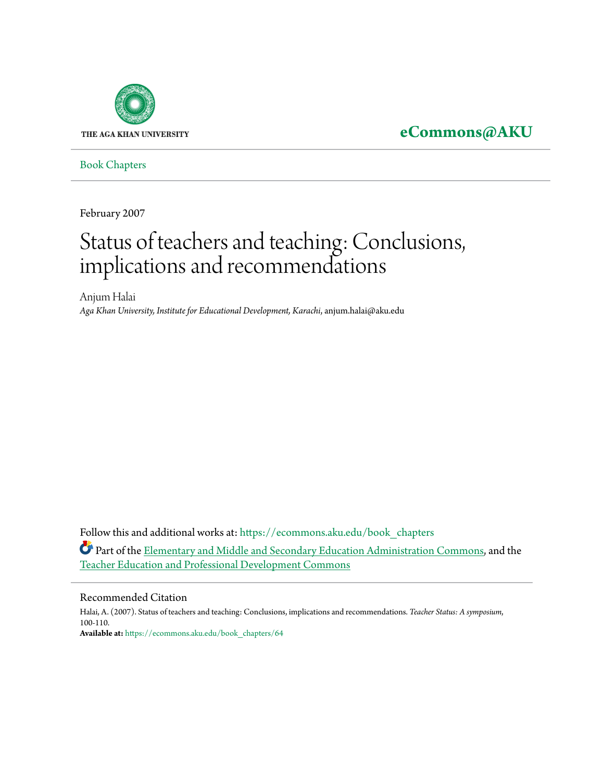

# **[eCommons@AKU](https://ecommons.aku.edu?utm_source=ecommons.aku.edu%2Fbook_chapters%2F64&utm_medium=PDF&utm_campaign=PDFCoverPages)**

[Book Chapters](https://ecommons.aku.edu/book_chapters?utm_source=ecommons.aku.edu%2Fbook_chapters%2F64&utm_medium=PDF&utm_campaign=PDFCoverPages)

February 2007

# Status of teachers and teaching: Conclusions, implications and recommendations

Anjum Halai *Aga Khan University, Institute for Educational Development, Karachi*, anjum.halai@aku.edu

Follow this and additional works at: [https://ecommons.aku.edu/book\\_chapters](https://ecommons.aku.edu/book_chapters?utm_source=ecommons.aku.edu%2Fbook_chapters%2F64&utm_medium=PDF&utm_campaign=PDFCoverPages) Part of the [Elementary and Middle and Secondary Education Administration Commons,](http://network.bepress.com/hgg/discipline/790?utm_source=ecommons.aku.edu%2Fbook_chapters%2F64&utm_medium=PDF&utm_campaign=PDFCoverPages) and the [Teacher Education and Professional Development Commons](http://network.bepress.com/hgg/discipline/803?utm_source=ecommons.aku.edu%2Fbook_chapters%2F64&utm_medium=PDF&utm_campaign=PDFCoverPages)

#### Recommended Citation

Halai, A. (2007). Status of teachers and teaching: Conclusions, implications and recommendations. *Teacher Status: A symposium*, 100-110. **Available at:** [https://ecommons.aku.edu/book\\_chapters/64](https://ecommons.aku.edu/book_chapters/64)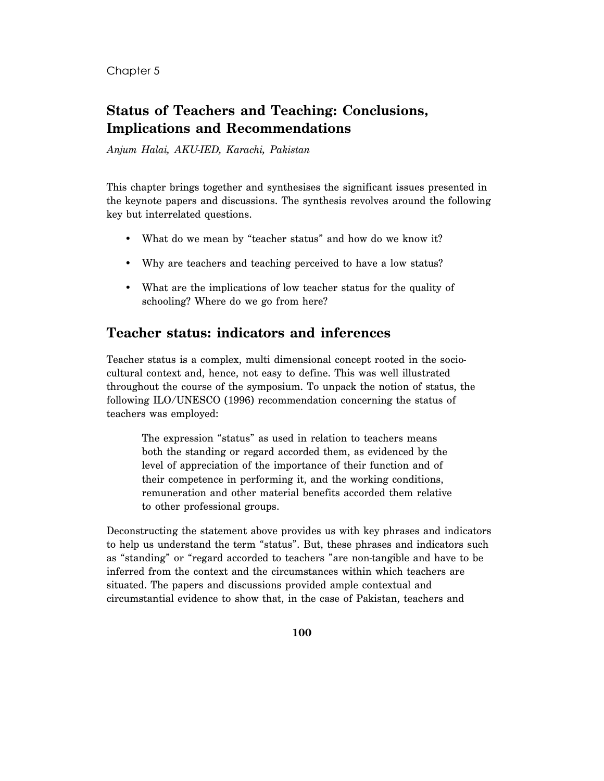#### Chapter 5

## **Status of Teachers and Teaching: Conclusions, Implications and Recommendations**

*Anjum Halai, AKU-IED, Karachi, Pakistan* 

This chapter brings together and synthesises the significant issues presented in the keynote papers and discussions. The synthesis revolves around the following key but interrelated questions.

- What do we mean by "teacher status" and how do we know it?
- Why are teachers and teaching perceived to have a low status?
- What are the implications of low teacher status for the quality of schooling? Where do we go from here?

### **Teacher status: indicators and inferences**

Teacher status is a complex, multi dimensional concept rooted in the sociocultural context and, hence, not easy to define. This was well illustrated throughout the course of the symposium. To unpack the notion of status, the following ILO/UNESCO (1996) recommendation concerning the status of teachers was employed:

The expression "status" as used in relation to teachers means both the standing or regard accorded them, as evidenced by the level of appreciation of the importance of their function and of their competence in performing it, and the working conditions, remuneration and other material benefits accorded them relative to other professional groups.

Deconstructing the statement above provides us with key phrases and indicators to help us understand the term "status". But, these phrases and indicators such as "standing" or "regard accorded to teachers "are non-tangible and have to be inferred from the context and the circumstances within which teachers are situated. The papers and discussions provided ample contextual and circumstantial evidence to show that, in the case of Pakistan, teachers and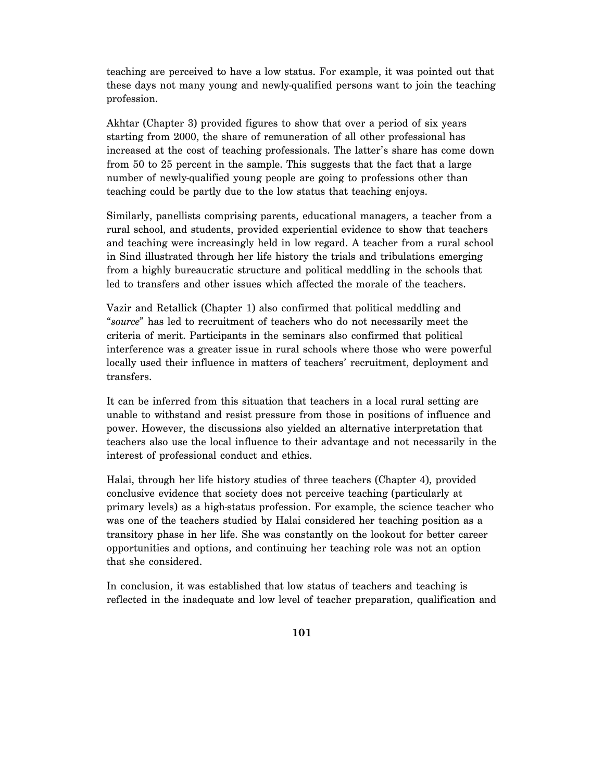teaching are perceived to have a low status. For example, it was pointed out that these days not many young and newly-qualified persons want to join the teaching profession.

Akhtar (Chapter 3) provided figures to show that over a period of six years starting from 2000, the share of remuneration of all other professional has increased at the cost of teaching professionals. The latter's share has come down from 50 to 25 percent in the sample. This suggests that the fact that a large number of newly-qualified young people are going to professions other than teaching could be partly due to the low status that teaching enjoys.

Similarly, panellists comprising parents, educational managers, a teacher from a rural school, and students, provided experiential evidence to show that teachers and teaching were increasingly held in low regard. A teacher from a rural school in Sind illustrated through her life history the trials and tribulations emerging from a highly bureaucratic structure and political meddling in the schools that led to transfers and other issues which affected the morale of the teachers.

Vazir and Retallick (Chapter 1) also confirmed that political meddling and "*source*" has led to recruitment of teachers who do not necessarily meet the criteria of merit. Participants in the seminars also confirmed that political interference was a greater issue in rural schools where those who were powerful locally used their influence in matters of teachers' recruitment, deployment and transfers.

It can be inferred from this situation that teachers in a local rural setting are unable to withstand and resist pressure from those in positions of influence and power. However, the discussions also yielded an alternative interpretation that teachers also use the local influence to their advantage and not necessarily in the interest of professional conduct and ethics.

Halai, through her life history studies of three teachers (Chapter 4), provided conclusive evidence that society does not perceive teaching (particularly at primary levels) as a high-status profession. For example, the science teacher who was one of the teachers studied by Halai considered her teaching position as a transitory phase in her life. She was constantly on the lookout for better career opportunities and options, and continuing her teaching role was not an option that she considered.

In conclusion, it was established that low status of teachers and teaching is reflected in the inadequate and low level of teacher preparation, qualification and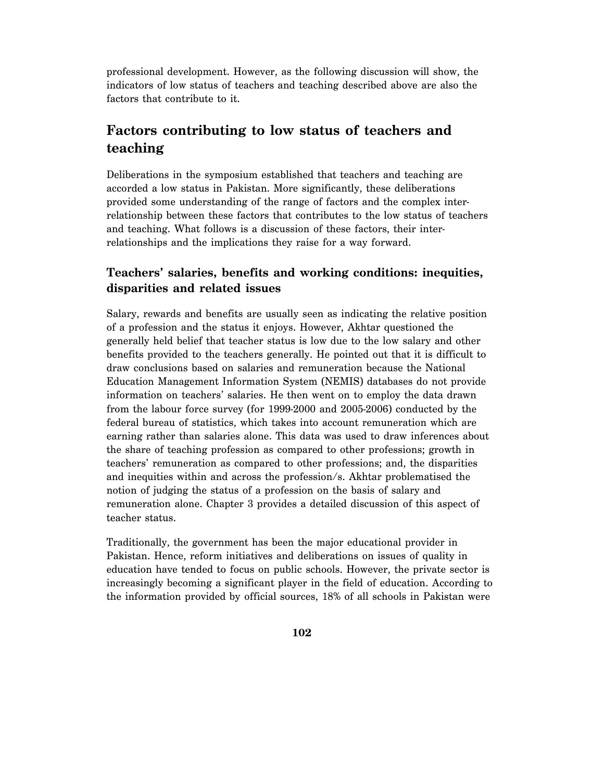professional development. However, as the following discussion will show, the indicators of low status of teachers and teaching described above are also the factors that contribute to it.

## **Factors contributing to low status of teachers and teaching**

Deliberations in the symposium established that teachers and teaching are accorded a low status in Pakistan. More significantly, these deliberations provided some understanding of the range of factors and the complex interrelationship between these factors that contributes to the low status of teachers and teaching. What follows is a discussion of these factors, their interrelationships and the implications they raise for a way forward.

#### **Teachers' salaries, benefits and working conditions: inequities, disparities and related issues**

Salary, rewards and benefits are usually seen as indicating the relative position of a profession and the status it enjoys. However, Akhtar questioned the generally held belief that teacher status is low due to the low salary and other benefits provided to the teachers generally. He pointed out that it is difficult to draw conclusions based on salaries and remuneration because the National Education Management Information System (NEMIS) databases do not provide information on teachers' salaries. He then went on to employ the data drawn from the labour force survey (for 1999-2000 and 2005-2006) conducted by the federal bureau of statistics, which takes into account remuneration which are earning rather than salaries alone. This data was used to draw inferences about the share of teaching profession as compared to other professions; growth in teachers' remuneration as compared to other professions; and, the disparities and inequities within and across the profession/s. Akhtar problematised the notion of judging the status of a profession on the basis of salary and remuneration alone. Chapter 3 provides a detailed discussion of this aspect of teacher status.

Traditionally, the government has been the major educational provider in Pakistan. Hence, reform initiatives and deliberations on issues of quality in education have tended to focus on public schools. However, the private sector is increasingly becoming a significant player in the field of education. According to the information provided by official sources, 18% of all schools in Pakistan were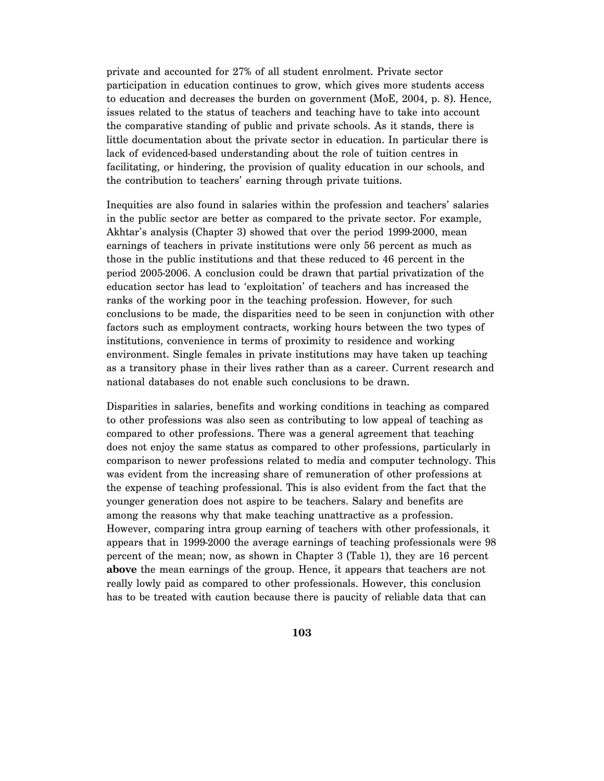private and accounted for 27% of all student enrolment. Private sector participation in education continues to grow, which gives more students access to education and decreases the burden on government (MoE, 2004, p. 8). Hence, issues related to the status of teachers and teaching have to take into account the comparative standing of public and private schools. As it stands, there is little documentation about the private sector in education. In particular there is lack of evidenced-based understanding about the role of tuition centres in facilitating, or hindering, the provision of quality education in our schools, and the contribution to teachers' earning through private tuitions.

Inequities are also found in salaries within the profession and teachers' salaries in the public sector are better as compared to the private sector. For example, Akhtar's analysis (Chapter 3) showed that over the period 1999-2000, mean earnings of teachers in private institutions were only 56 percent as much as those in the public institutions and that these reduced to 46 percent in the period 2005-2006. A conclusion could be drawn that partial privatization of the education sector has lead to 'exploitation' of teachers and has increased the ranks of the working poor in the teaching profession. However, for such conclusions to be made, the disparities need to be seen in conjunction with other factors such as employment contracts, working hours between the two types of institutions, convenience in terms of proximity to residence and working environment. Single females in private institutions may have taken up teaching as a transitory phase in their lives rather than as a career. Current research and national databases do not enable such conclusions to be drawn.

Disparities in salaries, benefits and working conditions in teaching as compared to other professions was also seen as contributing to low appeal of teaching as compared to other professions. There was a general agreement that teaching does not enjoy the same status as compared to other professions, particularly in comparison to newer professions related to media and computer technology. This was evident from the increasing share of remuneration of other professions at the expense of teaching professional. This is also evident from the fact that the younger generation does not aspire to be teachers. Salary and benefits are among the reasons why that make teaching unattractive as a profession. However, comparing intra group earning of teachers with other professionals, it appears that in 1999-2000 the average earnings of teaching professionals were 98 percent of the mean; now, as shown in Chapter 3 (Table 1), they are 16 percent **above** the mean earnings of the group. Hence, it appears that teachers are not really lowly paid as compared to other professionals. However, this conclusion has to be treated with caution because there is paucity of reliable data that can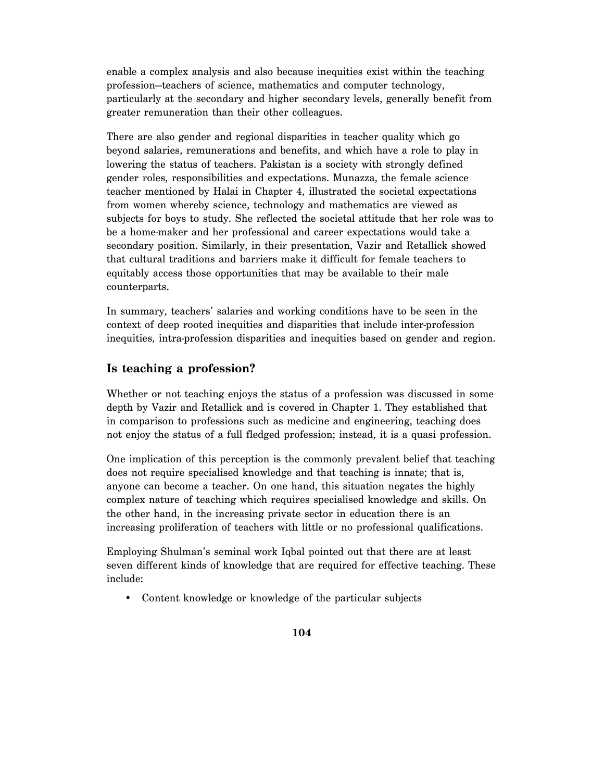enable a complex analysis and also because inequities exist within the teaching profession—teachers of science, mathematics and computer technology, particularly at the secondary and higher secondary levels, generally benefit from greater remuneration than their other colleagues.

There are also gender and regional disparities in teacher quality which go beyond salaries, remunerations and benefits, and which have a role to play in lowering the status of teachers. Pakistan is a society with strongly defined gender roles, responsibilities and expectations. Munazza, the female science teacher mentioned by Halai in Chapter 4, illustrated the societal expectations from women whereby science, technology and mathematics are viewed as subjects for boys to study. She reflected the societal attitude that her role was to be a home-maker and her professional and career expectations would take a secondary position. Similarly, in their presentation, Vazir and Retallick showed that cultural traditions and barriers make it difficult for female teachers to equitably access those opportunities that may be available to their male counterparts.

In summary, teachers' salaries and working conditions have to be seen in the context of deep rooted inequities and disparities that include inter-profession inequities, intra-profession disparities and inequities based on gender and region.

#### **Is teaching a profession?**

Whether or not teaching enjoys the status of a profession was discussed in some depth by Vazir and Retallick and is covered in Chapter 1. They established that in comparison to professions such as medicine and engineering, teaching does not enjoy the status of a full fledged profession; instead, it is a quasi profession.

One implication of this perception is the commonly prevalent belief that teaching does not require specialised knowledge and that teaching is innate; that is, anyone can become a teacher. On one hand, this situation negates the highly complex nature of teaching which requires specialised knowledge and skills. On the other hand, in the increasing private sector in education there is an increasing proliferation of teachers with little or no professional qualifications.

Employing Shulman's seminal work Iqbal pointed out that there are at least seven different kinds of knowledge that are required for effective teaching. These include:

• Content knowledge or knowledge of the particular subjects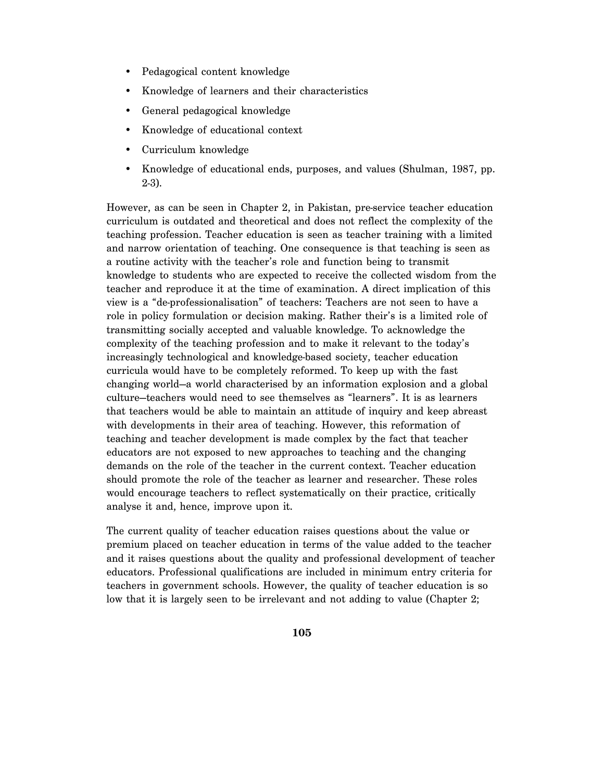- Pedagogical content knowledge
- Knowledge of learners and their characteristics
- General pedagogical knowledge
- Knowledge of educational context
- Curriculum knowledge
- Knowledge of educational ends, purposes, and values (Shulman, 1987, pp. 2-3).

However, as can be seen in Chapter 2, in Pakistan, pre-service teacher education curriculum is outdated and theoretical and does not reflect the complexity of the teaching profession. Teacher education is seen as teacher training with a limited and narrow orientation of teaching. One consequence is that teaching is seen as a routine activity with the teacher's role and function being to transmit knowledge to students who are expected to receive the collected wisdom from the teacher and reproduce it at the time of examination. A direct implication of this view is a "de-professionalisation" of teachers: Teachers are not seen to have a role in policy formulation or decision making. Rather their's is a limited role of transmitting socially accepted and valuable knowledge. To acknowledge the complexity of the teaching profession and to make it relevant to the today's increasingly technological and knowledge-based society, teacher education curricula would have to be completely reformed. To keep up with the fast changing world—a world characterised by an information explosion and a global culture—teachers would need to see themselves as "learners". It is as learners that teachers would be able to maintain an attitude of inquiry and keep abreast with developments in their area of teaching. However, this reformation of teaching and teacher development is made complex by the fact that teacher educators are not exposed to new approaches to teaching and the changing demands on the role of the teacher in the current context. Teacher education should promote the role of the teacher as learner and researcher. These roles would encourage teachers to reflect systematically on their practice, critically analyse it and, hence, improve upon it.

The current quality of teacher education raises questions about the value or premium placed on teacher education in terms of the value added to the teacher and it raises questions about the quality and professional development of teacher educators. Professional qualifications are included in minimum entry criteria for teachers in government schools. However, the quality of teacher education is so low that it is largely seen to be irrelevant and not adding to value (Chapter 2;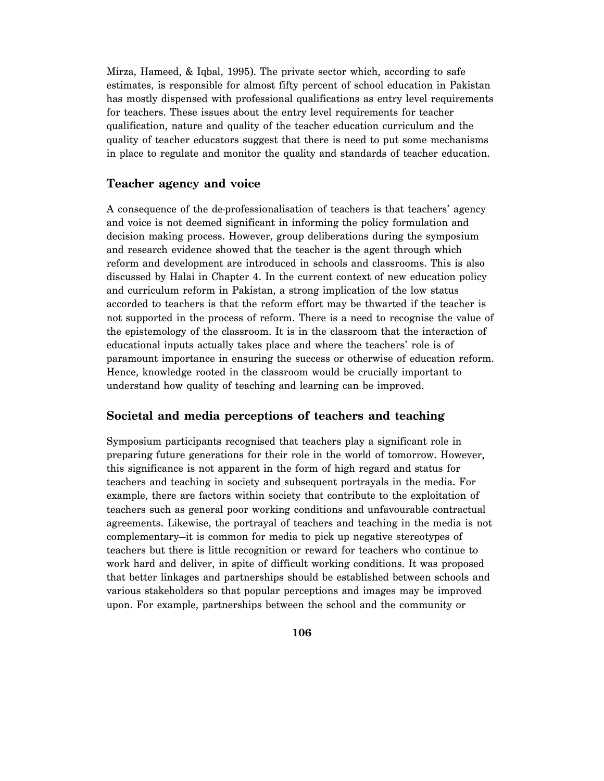Mirza, Hameed, & Iqbal, 1995). The private sector which, according to safe estimates, is responsible for almost fifty percent of school education in Pakistan has mostly dispensed with professional qualifications as entry level requirements for teachers. These issues about the entry level requirements for teacher qualification, nature and quality of the teacher education curriculum and the quality of teacher educators suggest that there is need to put some mechanisms in place to regulate and monitor the quality and standards of teacher education.

#### **Teacher agency and voice**

A consequence of the de-professionalisation of teachers is that teachers' agency and voice is not deemed significant in informing the policy formulation and decision making process. However, group deliberations during the symposium and research evidence showed that the teacher is the agent through which reform and development are introduced in schools and classrooms. This is also discussed by Halai in Chapter 4. In the current context of new education policy and curriculum reform in Pakistan, a strong implication of the low status accorded to teachers is that the reform effort may be thwarted if the teacher is not supported in the process of reform. There is a need to recognise the value of the epistemology of the classroom. It is in the classroom that the interaction of educational inputs actually takes place and where the teachers' role is of paramount importance in ensuring the success or otherwise of education reform. Hence, knowledge rooted in the classroom would be crucially important to understand how quality of teaching and learning can be improved.

#### **Societal and media perceptions of teachers and teaching**

Symposium participants recognised that teachers play a significant role in preparing future generations for their role in the world of tomorrow. However, this significance is not apparent in the form of high regard and status for teachers and teaching in society and subsequent portrayals in the media. For example, there are factors within society that contribute to the exploitation of teachers such as general poor working conditions and unfavourable contractual agreements. Likewise, the portrayal of teachers and teaching in the media is not complementary—it is common for media to pick up negative stereotypes of teachers but there is little recognition or reward for teachers who continue to work hard and deliver, in spite of difficult working conditions. It was proposed that better linkages and partnerships should be established between schools and various stakeholders so that popular perceptions and images may be improved upon. For example, partnerships between the school and the community or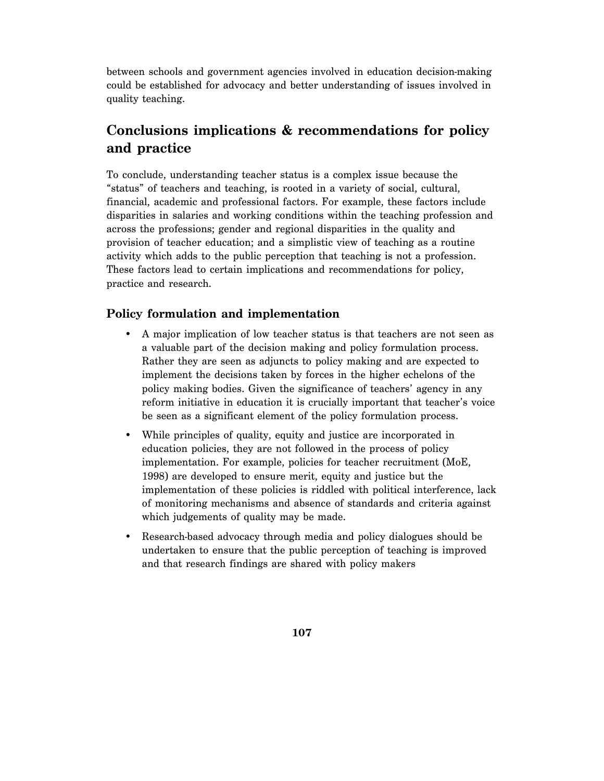between schools and government agencies involved in education decision-making could be established for advocacy and better understanding of issues involved in quality teaching.

## **Conclusions implications & recommendations for policy and practice**

To conclude, understanding teacher status is a complex issue because the "status" of teachers and teaching, is rooted in a variety of social, cultural, financial, academic and professional factors. For example, these factors include disparities in salaries and working conditions within the teaching profession and across the professions; gender and regional disparities in the quality and provision of teacher education; and a simplistic view of teaching as a routine activity which adds to the public perception that teaching is not a profession. These factors lead to certain implications and recommendations for policy, practice and research.

#### **Policy formulation and implementation**

- A major implication of low teacher status is that teachers are not seen as a valuable part of the decision making and policy formulation process. Rather they are seen as adjuncts to policy making and are expected to implement the decisions taken by forces in the higher echelons of the policy making bodies. Given the significance of teachers' agency in any reform initiative in education it is crucially important that teacher's voice be seen as a significant element of the policy formulation process.
- While principles of quality, equity and justice are incorporated in education policies, they are not followed in the process of policy implementation. For example, policies for teacher recruitment (MoE, 1998) are developed to ensure merit, equity and justice but the implementation of these policies is riddled with political interference, lack of monitoring mechanisms and absence of standards and criteria against which judgements of quality may be made.
- Research-based advocacy through media and policy dialogues should be undertaken to ensure that the public perception of teaching is improved and that research findings are shared with policy makers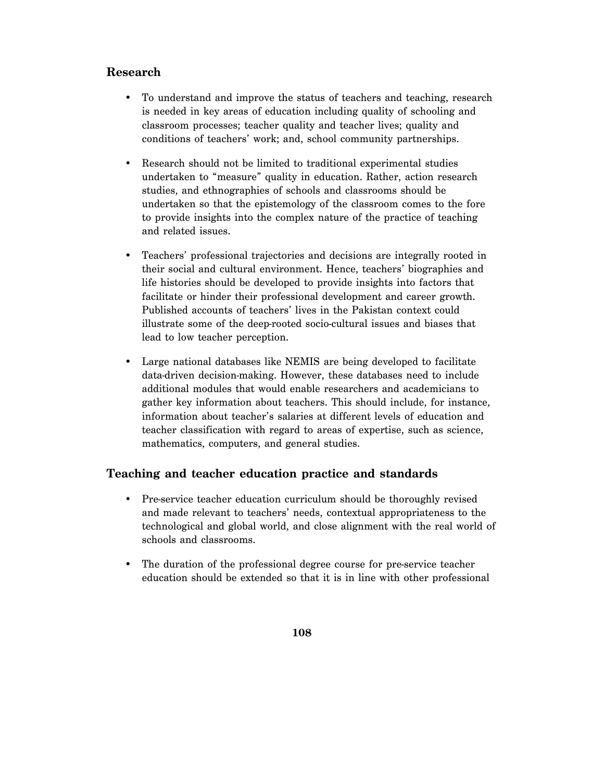## **Research**

- To understand and improve the status of teachers and teaching, research is needed in key areas of education including quality of schooling and classroom processes; teacher quality and teacher lives; quality and conditions of teachers' work; and, school community partnerships.
- Research should not be limited to traditional experimental studies undertaken to "measure" quality in education. Rather, action research studies, and ethnographies of schools and classrooms should be undertaken so that the epistemology of the classroom comes to the fore to provide insights into the complex nature of the practice of teaching and related issues.
- Teachers' professional trajectories and decisions are integrally rooted in their social and cultural environment. Hence, teachers' biographies and life histories should be developed to provide insights into factors that facilitate or hinder their professional development and career growth. Published accounts of teachers' lives in the Pakistan context could illustrate some of the deep-rooted socio-cultural issues and biases that lead to low teacher perception.
- Large national databases like NEMIS are being developed to facilitate data-driven decision-making. However, these databases need to include additional modules that would enable researchers and academicians to gather key information about teachers. This should include, for instance, information about teacher's salaries at different levels of education and teacher classification with regard to areas of expertise, such as science, mathematics, computers, and general studies.

#### **Teaching and teacher education practice and standards**

- Pre-service teacher education curriculum should be thoroughly revised and made relevant to teachers' needs, contextual appropriateness to the technological and global world, and close alignment with the real world of schools and classrooms.
- The duration of the professional degree course for pre-service teacher education should be extended so that it is in line with other professional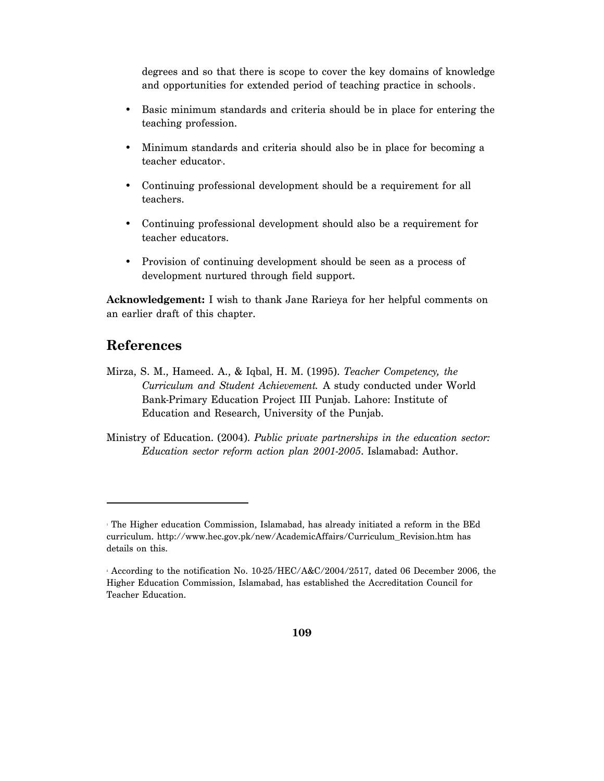degrees and so that there is scope to cover the key domains of knowledge and opportunities for extended period of teaching practice in schools.

- Basic minimum standards and criteria should be in place for entering the teaching profession.
- Minimum standards and criteria should also be in place for becoming a teacher educator.
- Continuing professional development should be a requirement for all teachers.
- Continuing professional development should also be a requirement for teacher educators.
- Provision of continuing development should be seen as a process of development nurtured through field support.

**Acknowledgement:** I wish to thank Jane Rarieya for her helpful comments on an earlier draft of this chapter.

## **References**

 $\overline{a}$ 

- Mirza, S. M., Hameed. A., & Iqbal, H. M. (1995). *Teacher Competency, the Curriculum and Student Achievement.* A study conducted under World Bank-Primary Education Project III Punjab. Lahore: Institute of Education and Research, University of the Punjab.
- Ministry of Education. (2004). *Public private partnerships in the education sector: Education sector reform action plan 2001-2005*. Islamabad: Author.

<sup>1</sup> The Higher education Commission, Islamabad, has already initiated a reform in the BEd curriculum. http://www.hec.gov.pk/new/AcademicAffairs/Curriculum\_Revision.htm has details on this.

<sup>2</sup> According to the notification No. 10-25/HEC/A&C/2004/2517, dated 06 December 2006, the Higher Education Commission, Islamabad, has established the Accreditation Council for Teacher Education.